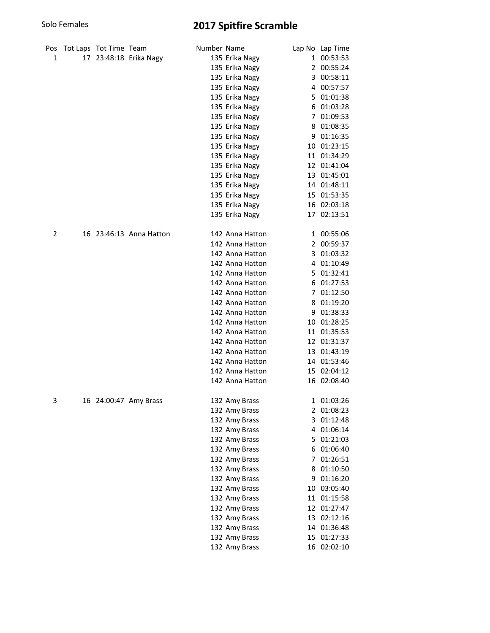# Solo Females 2017 Spitfire Scramble

| Pos |    | Tot Laps Tot Time Team |                         | Number Name |                 |    | Lap No Lap Time |
|-----|----|------------------------|-------------------------|-------------|-----------------|----|-----------------|
| 1   | 17 |                        | 23:48:18 Erika Nagy     |             | 135 Erika Nagy  |    | 1 00:53:53      |
|     |    |                        |                         |             | 135 Erika Nagy  |    | 2 00:55:24      |
|     |    |                        |                         |             | 135 Erika Nagy  | 3  | 00:58:11        |
|     |    |                        |                         |             | 135 Erika Nagy  | 4  | 00:57:57        |
|     |    |                        |                         |             | 135 Erika Nagy  |    | 5 01:01:38      |
|     |    |                        |                         |             | 135 Erika Nagy  | 6  | 01:03:28        |
|     |    |                        |                         |             | 135 Erika Nagy  |    | 7 01:09:53      |
|     |    |                        |                         |             | 135 Erika Nagy  | 8  | 01:08:35        |
|     |    |                        |                         |             | 135 Erika Nagy  | 9  | 01:16:35        |
|     |    |                        |                         |             | 135 Erika Nagy  |    | 10 01:23:15     |
|     |    |                        |                         |             | 135 Erika Nagy  |    | 11 01:34:29     |
|     |    |                        |                         |             | 135 Erika Nagy  |    | 12 01:41:04     |
|     |    |                        |                         |             | 135 Erika Nagy  |    | 13 01:45:01     |
|     |    |                        |                         |             | 135 Erika Nagy  |    | 14 01:48:11     |
|     |    |                        |                         |             | 135 Erika Nagy  |    | 15 01:53:35     |
|     |    |                        |                         |             | 135 Erika Nagy  |    | 16 02:03:18     |
|     |    |                        |                         |             | 135 Erika Nagy  |    | 17 02:13:51     |
| 2   |    |                        | 16 23:46:13 Anna Hatton |             | 142 Anna Hatton |    | 1 00:55:06      |
|     |    |                        |                         |             | 142 Anna Hatton |    | 2 00:59:37      |
|     |    |                        |                         |             | 142 Anna Hatton |    | 3 01:03:32      |
|     |    |                        |                         |             | 142 Anna Hatton |    | 4 01:10:49      |
|     |    |                        |                         |             | 142 Anna Hatton |    | 5 01:32:41      |
|     |    |                        |                         |             | 142 Anna Hatton |    | 6 01:27:53      |
|     |    |                        |                         |             | 142 Anna Hatton |    | 7 01:12:50      |
|     |    |                        |                         |             | 142 Anna Hatton |    | 8 01:19:20      |
|     |    |                        |                         |             | 142 Anna Hatton | 9  | 01:38:33        |
|     |    |                        |                         |             | 142 Anna Hatton | 10 | 01:28:25        |
|     |    |                        |                         |             | 142 Anna Hatton |    | 11 01:35:53     |
|     |    |                        |                         |             | 142 Anna Hatton |    | 12 01:31:37     |
|     |    |                        |                         |             | 142 Anna Hatton |    | 13 01:43:19     |
|     |    |                        |                         |             | 142 Anna Hatton |    | 14 01:53:46     |
|     |    |                        |                         |             | 142 Anna Hatton |    | 15 02:04:12     |
|     |    |                        |                         |             | 142 Anna Hatton |    | 16 02:08:40     |
| 3   |    |                        | 16 24:00:47 Amy Brass   |             | 132 Amy Brass   |    | 1 01:03:26      |
|     |    |                        |                         |             | 132 Amy Brass   |    | 2 01:08:23      |
|     |    |                        |                         |             | 132 Amy Brass   |    | 3 01:12:48      |
|     |    |                        |                         |             | 132 Amy Brass   |    | 4 01:06:14      |
|     |    |                        |                         |             | 132 Amy Brass   |    | 5 01:21:03      |
|     |    |                        |                         |             | 132 Amy Brass   |    | 6 01:06:40      |
|     |    |                        |                         |             | 132 Amy Brass   |    | 7 01:26:51      |
|     |    |                        |                         |             | 132 Amy Brass   |    | 8 01:10:50      |
|     |    |                        |                         |             | 132 Amy Brass   |    | 9 01:16:20      |
|     |    |                        |                         |             | 132 Amy Brass   |    | 10 03:05:40     |
|     |    |                        |                         |             | 132 Amy Brass   |    | 11 01:15:58     |
|     |    |                        |                         |             | 132 Amy Brass   |    | 12 01:27:47     |
|     |    |                        |                         |             | 132 Amy Brass   |    | 13 02:12:16     |
|     |    |                        |                         |             | 132 Amy Brass   |    | 14 01:36:48     |
|     |    |                        |                         |             | 132 Amy Brass   |    | 15 01:27:33     |
|     |    |                        |                         |             | 132 Amy Brass   |    | 16 02:02:10     |
|     |    |                        |                         |             |                 |    |                 |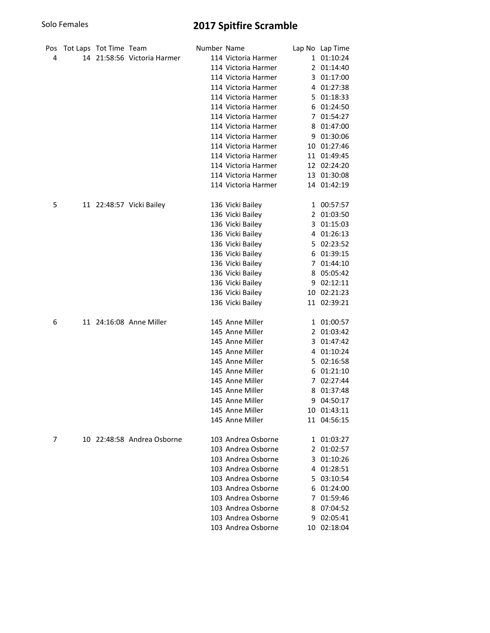# Solo Females 2017 Spitfire Scramble

| Pos | Tot Laps Tot Time Team |                             | Number Name |                     |    | Lap No Lap Time |
|-----|------------------------|-----------------------------|-------------|---------------------|----|-----------------|
| 4   |                        | 14 21:58:56 Victoria Harmer |             | 114 Victoria Harmer |    | 1 01:10:24      |
|     |                        |                             |             | 114 Victoria Harmer |    | 2 01:14:40      |
|     |                        |                             |             | 114 Victoria Harmer | 3  | 01:17:00        |
|     |                        |                             |             | 114 Victoria Harmer | 4  | 01:27:38        |
|     |                        |                             |             | 114 Victoria Harmer | 5. | 01:18:33        |
|     |                        |                             |             | 114 Victoria Harmer | 6  | 01:24:50        |
|     |                        |                             |             | 114 Victoria Harmer |    | 7 01:54:27      |
|     |                        |                             |             | 114 Victoria Harmer | 8  | 01:47:00        |
|     |                        |                             |             | 114 Victoria Harmer | 9  | 01:30:06        |
|     |                        |                             |             | 114 Victoria Harmer |    | 10 01:27:46     |
|     |                        |                             |             | 114 Victoria Harmer |    | 11 01:49:45     |
|     |                        |                             |             | 114 Victoria Harmer |    | 12 02:24:20     |
|     |                        |                             |             | 114 Victoria Harmer |    | 13 01:30:08     |
|     |                        |                             |             | 114 Victoria Harmer |    | 14 01:42:19     |
| 5   |                        | 11 22:48:57 Vicki Bailey    |             | 136 Vicki Bailey    |    | 1 00:57:57      |
|     |                        |                             |             | 136 Vicki Bailey    |    | 2 01:03:50      |
|     |                        |                             |             | 136 Vicki Bailey    |    | 3 01:15:03      |
|     |                        |                             |             | 136 Vicki Bailey    |    | 4 01:26:13      |
|     |                        |                             |             | 136 Vicki Bailey    |    | 5 02:23:52      |
|     |                        |                             |             | 136 Vicki Bailey    |    | 6 01:39:15      |
|     |                        |                             |             | 136 Vicki Bailey    |    | 7 01:44:10      |
|     |                        |                             |             | 136 Vicki Bailey    |    | 8 05:05:42      |
|     |                        |                             |             | 136 Vicki Bailey    | 9  | 02:12:11        |
|     |                        |                             |             | 136 Vicki Bailey    |    | 10 02:21:23     |
|     |                        |                             |             | 136 Vicki Bailey    |    | 11 02:39:21     |
| 6   |                        | 11 24:16:08 Anne Miller     |             | 145 Anne Miller     |    | 1 01:00:57      |
|     |                        |                             |             | 145 Anne Miller     |    | 2 01:03:42      |
|     |                        |                             |             | 145 Anne Miller     | 3  | 01:47:42        |
|     |                        |                             |             | 145 Anne Miller     | 4  | 01:10:24        |
|     |                        |                             |             | 145 Anne Miller     | 5  | 02:16:58        |
|     |                        |                             |             | 145 Anne Miller     | 6  | 01:21:10        |
|     |                        |                             |             | 145 Anne Miller     |    | 7 02:27:44      |
|     |                        |                             |             | 145 Anne Miller     | 8  | 01:37:48        |
|     |                        |                             |             | 145 Anne Miller     |    | 9 04:50:17      |
|     |                        |                             |             | 145 Anne Miller     |    | 10 01:43:11     |
|     |                        |                             |             | 145 Anne Miller     |    | 11 04:56:15     |
| 7   |                        | 10 22:48:58 Andrea Osborne  |             | 103 Andrea Osborne  |    | 1 01:03:27      |
|     |                        |                             |             | 103 Andrea Osborne  |    | 2 01:02:57      |
|     |                        |                             |             | 103 Andrea Osborne  |    | 3 01:10:26      |
|     |                        |                             |             | 103 Andrea Osborne  |    | 4 01:28:51      |
|     |                        |                             |             | 103 Andrea Osborne  |    | 5 03:10:54      |
|     |                        |                             |             | 103 Andrea Osborne  |    | 6 01:24:00      |
|     |                        |                             |             | 103 Andrea Osborne  |    | 7 01:59:46      |
|     |                        |                             |             | 103 Andrea Osborne  |    | 8 07:04:52      |
|     |                        |                             |             | 103 Andrea Osborne  |    | 9 02:05:41      |
|     |                        |                             |             | 103 Andrea Osborne  |    | 10 02:18:04     |
|     |                        |                             |             |                     |    |                 |